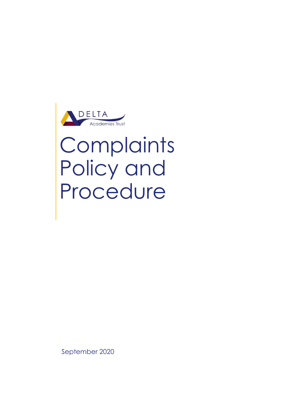

# **Complaints** Policy and Procedure

September 2020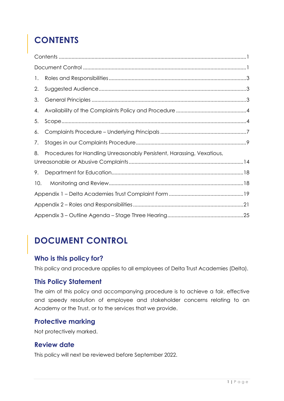# <span id="page-1-0"></span>**CONTENTS**

| 1.  |                                                                        |  |
|-----|------------------------------------------------------------------------|--|
| 2.  |                                                                        |  |
| 3.  |                                                                        |  |
| 4.  |                                                                        |  |
| 5.  |                                                                        |  |
| 6.  |                                                                        |  |
| 7.  |                                                                        |  |
| 8.  | Procedures for Handling Unreasonably Persistent, Harassing, Vexatious, |  |
| 9.  |                                                                        |  |
| 10. |                                                                        |  |
|     |                                                                        |  |
|     |                                                                        |  |
|     |                                                                        |  |

# <span id="page-1-1"></span>**DOCUMENT CONTROL**

#### **Who is this policy for?**

This policy and procedure applies to all employees of Delta Trust Academies (Delta).

## **This Policy Statement**

The aim of this policy and accompanying procedure is to achieve a fair, effective and speedy resolution of employee and stakeholder concerns relating to an Academy or the Trust, or to the services that we provide.

## **Protective marking**

Not protectively marked.

## **Review date**

This policy will next be reviewed before September 2022.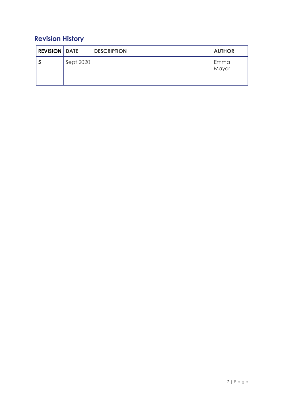## **Revision History**

| <b>REVISION DATE</b> |           | <b>DESCRIPTION</b> | <b>AUTHOR</b> |
|----------------------|-----------|--------------------|---------------|
| a                    | Sept 2020 |                    | Emma<br>Mayor |
|                      |           |                    |               |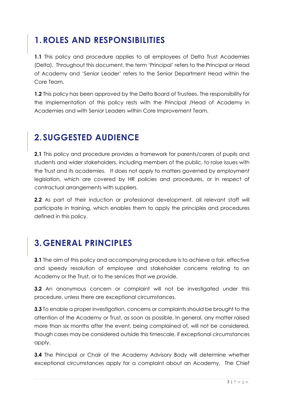# <span id="page-3-0"></span>**1.ROLES AND RESPONSIBILITIES**

**1.1** This policy and procedure applies to all employees of Delta Trust Academies (Delta). Throughout this document, the term 'Principal' refers to the Principal or Head of Academy and 'Senior Leader' refers to the Senior Department Head within the Core Team.

**1.2** This policy has been approved by the Delta Board of Trustees. The responsibility for the implementation of this policy rests with the Principal /Head of Academy in Academies and with Senior Leaders within Core Improvement Team.

## <span id="page-3-1"></span>**2. SUGGESTED AUDIENCE**

**2.1** This policy and procedure provides a framework for parents/carers of pupils and students and wider stakeholders, including members of the public, to raise issues with the Trust and its academies. It does not apply to matters governed by employment legislation, which are covered by HR policies and procedures, or in respect of contractual arrangements with suppliers.

**2.2** As part of their induction or professional development, all relevant staff will participate in training, which enables them to apply the principles and procedures defined in this policy.

## <span id="page-3-2"></span>**3.GENERAL PRINCIPLES**

**3.1** The aim of this policy and accompanying procedure is to achieve a fair, effective and speedy resolution of employee and stakeholder concerns relating to an Academy or the Trust, or to the services that we provide.

**3.2** An anonymous concern or complaint will not be investigated under this procedure, unless there are exceptional circumstances.

**3.3** To enable a proper investigation, concerns or complaints should be brought to the attention of the Academy or Trust, as soon as possible. In general, any matter raised more than six months after the event, being complained of, will not be considered, though cases may be considered outside this timescale, if exceptional circumstances apply.

**3.4** The Principal or Chair of the Academy Advisory Body will determine whether exceptional circumstances apply for a complaint about an Academy. The Chief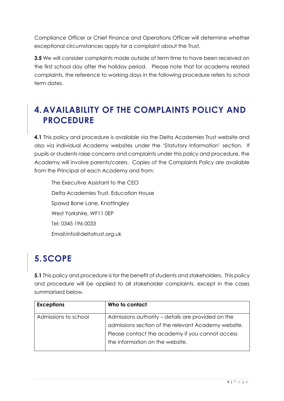Compliance Officer or Chief Finance and Operations Officer will determine whether exceptional circumstances apply for a complaint about the Trust.

**3.5** We will consider complaints made outside of term time to have been received on the first school day after the holiday period. Please note that for academy related complaints, the reference to working days in the following procedure refers to school term dates.

## <span id="page-4-0"></span>**4.AVAILABILITY OF THE COMPLAINTS POLICY AND PROCEDURE**

**4.1** This policy and procedure is available via the Delta Academies Trust website and also via individual Academy websites under the 'Statutory Information' section. If pupils or students raise concerns and complaints under this policy and procedure, the Academy will involve parents/carers. Copies of the Complaints Policy are available from the Principal at each Academy and from:

The Executive Assistant to the CEO Delta Academies Trust, Education House Spawd Bone Lane, Knottingley West Yorkshire, WF11 0EP Tel: 0345 196 0033 Email:info@deltatrust.org.uk

# <span id="page-4-1"></span>**5. SCOPE**

**5.1** This policy and procedure is for the benefit of students and stakeholders. This policy and procedure will be applied to all stakeholder complaints, except in the cases summarised below.

| <b>Exceptions</b>    | Who to contact                                      |
|----------------------|-----------------------------------------------------|
| Admissions to school | Admissions authority – details are provided on the  |
|                      | admissions section of the relevant Academy website. |
|                      | Please contact the academy if you cannot access     |
|                      | the information on the website.                     |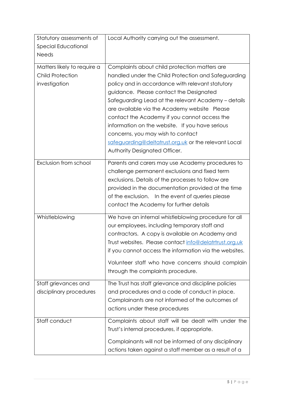| Statutory assessments of    | Local Authority carrying out the assessment.                                                 |
|-----------------------------|----------------------------------------------------------------------------------------------|
| Special Educational         |                                                                                              |
| <b>Needs</b>                |                                                                                              |
| Matters likely to require a | Complaints about child protection matters are                                                |
| <b>Child Protection</b>     | handled under the Child Protection and Safeguarding                                          |
| investigation               | policy and in accordance with relevant statutory                                             |
|                             | guidance. Please contact the Designated                                                      |
|                             | Safeguarding Lead at the relevant Academy - details                                          |
|                             | are available via the Academy website Please<br>contact the Academy if you cannot access the |
|                             | information on the website. If you have serious                                              |
|                             | concerns, you may wish to contact                                                            |
|                             | safeguarding@deltatrust.org.uk or the relevant Local                                         |
|                             | Authority Designated Officer.                                                                |
|                             |                                                                                              |
| Exclusion from school       | Parents and carers may use Academy procedures to                                             |
|                             | challenge permanent exclusions and fixed term                                                |
|                             | exclusions. Details of the processes to follow are                                           |
|                             | provided in the documentation provided at the time                                           |
|                             | of the exclusion. In the event of queries please<br>contact the Academy for further details  |
|                             |                                                                                              |
| Whistleblowing              | We have an internal whistleblowing procedure for all                                         |
|                             | our employees, including temporary staff and                                                 |
|                             | contractors. A copy is available on Academy and                                              |
|                             | Trust websites. Please contact info@delatrtrust.org.uk                                       |
|                             | if you cannot access the information via the websites.                                       |
|                             | Volunteer staff who have concerns should complain                                            |
|                             | through the complaints procedure.                                                            |
| Staff grievances and        | The Trust has staff grievance and discipline policies                                        |
| disciplinary procedures     | and procedures and a code of conduct in place.                                               |
|                             | Complainants are not informed of the outcomes of                                             |
|                             | actions under these procedures                                                               |
| Staff conduct               | Complaints about staff will be dealt with under the                                          |
|                             | Trust's internal procedures, if appropriate.                                                 |
|                             | Complainants will not be informed of any disciplinary                                        |
|                             | actions taken against a staff member as a result of a                                        |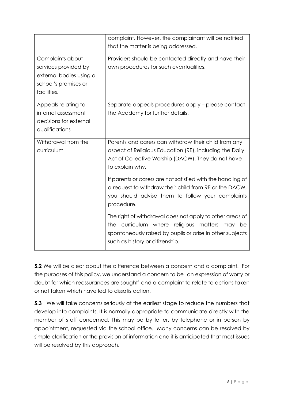|                                                                                                            | complaint. However, the complainant will be notified<br>that the matter is being addressed.                                                                                                                  |
|------------------------------------------------------------------------------------------------------------|--------------------------------------------------------------------------------------------------------------------------------------------------------------------------------------------------------------|
| Complaints about<br>services provided by<br>external bodies using a<br>school's premises or<br>facilities. | Providers should be contacted directly and have their<br>own procedures for such eventualities.                                                                                                              |
| Appeals relating to<br>internal assessment<br>decisions for external<br>qualifications                     | Separate appeals procedures apply - please contact<br>the Academy for further details.                                                                                                                       |
| Withdrawal from the<br>curriculum                                                                          | Parents and carers can withdraw their child from any<br>aspect of Religious Education (RE), including the Daily<br>Act of Collective Worship (DACW). They do not have<br>to explain why.                     |
|                                                                                                            | If parents or carers are not satisfied with the handling of<br>a request to withdraw their child from RE or the DACW,<br>you should advise them to follow your complaints<br>procedure.                      |
|                                                                                                            | The right of withdrawal does not apply to other areas of<br>the curriculum where religious matters<br>may be<br>spontaneously raised by pupils or arise in other subjects<br>such as history or citizenship. |

**5.2** We will be clear about the difference between a concern and a complaint. For the purposes of this policy, we understand a concern to be 'an expression of worry or doubt for which reassurances are sought' and a complaint to relate to actions taken or not taken which have led to dissatisfaction.

**5.3** We will take concerns seriously at the earliest stage to reduce the numbers that develop into complaints. It is normally appropriate to communicate directly with the member of staff concerned. This may be by letter, by telephone or in person by appointment, requested via the school office. Many concerns can be resolved by simple clarification or the provision of information and it is anticipated that most issues will be resolved by this approach.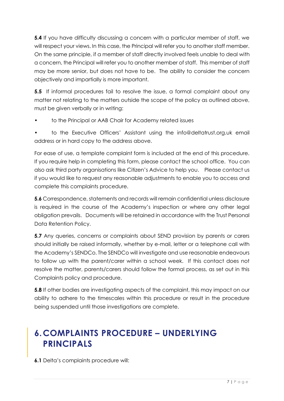**5.4** If you have difficulty discussing a concern with a particular member of staff, we will respect your views. In this case, the Principal will refer you to another staff member. On the same principle, if a member of staff directly involved feels unable to deal with a concern, the Principal will refer you to another member of staff. This member of staff may be more senior, but does not have to be. The ability to consider the concern objectively and impartially is more important.

**5.5** If informal procedures fail to resolve the issue, a formal complaint about any matter not relating to the matters outside the scope of the policy as outlined above, must be given verbally or in writing:

• to the Principal or AAB Chair for Academy related issues

• to the Executive Officers' Assistant using the info@deltatrust.org.uk email address or in hard copy to the address above.

For ease of use, a template complaint form is included at the end of this procedure. If you require help in completing this form, please contact the school office. You can also ask third party organisations like Citizen's Advice to help you. Please contact us if you would like to request any reasonable adjustments to enable you to access and complete this complaints procedure.

**5.6** Correspondence, statements and records will remain confidential unless disclosure is required in the course of the Academy's inspection or where any other legal obligation prevails. Documents will be retained in accordance with the Trust Personal Data Retention Policy.

**5.7** Any queries, concerns or complaints about SEND provision by parents or carers should initially be raised informally, whether by e-mail, letter or a telephone call with the Academy's SENDCo. The SENDCo will investigate and use reasonable endeavours to follow up with the parent/carer within a school week. If this contact does not resolve the matter, parents/carers should follow the formal process, as set out in this Complaints policy and procedure.

**5.8** If other bodies are investigating aspects of the complaint, this may impact on our ability to adhere to the timescales within this procedure or result in the procedure being suspended until those investigations are complete.

## <span id="page-7-0"></span>**6.COMPLAINTS PROCEDURE – UNDERLYING PRINCIPALS**

**6.1** Delta's complaints procedure will: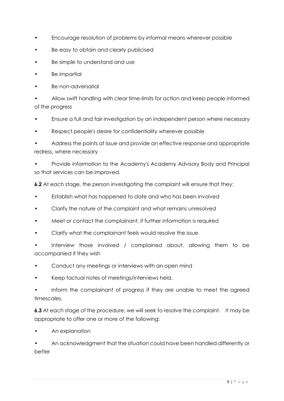- Encourage resolution of problems by informal means wherever possible
- Be easy to obtain and clearly publicised
- Be simple to understand and use
- **Be impartial**
- Be non-adversarial

• Allow swift handling with clear time-limits for action and keep people informed of the progress

- Ensure a full and fair investigation by an independent person where necessary
- Respect people's desire for confidentiality wherever possible

• Address the points at issue and provide an effective response and appropriate redress, where necessary

• Provide information to the Academy's Academy Advisory Body and Principal so that services can be improved.

**6.2** At each stage, the person investigating the complaint will ensure that they:

- Establish what has happened to date and who has been involved
- Clarify the nature of the complaint and what remains unresolved
- Meet or contact the complainant, if further information is required
- Clarify what the complainant feels would resolve the issue

Interview those involved / complained about, allowing them to be accompanied if they wish

- Conduct any meetings or interviews with an open mind
- Keep factual notes of meetings/interviews held.

Inform the complainant of progress if they are unable to meet the agreed timescales.

**6.3** At each stage of the procedure, we will seek to resolve the complaint. It may be appropriate to offer one or more of the following:

• An explanation

• An acknowledgment that the situation could have been handled differently or better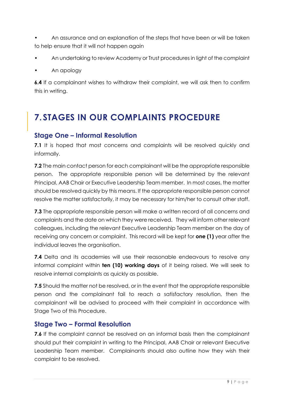- An assurance and an explanation of the steps that have been or will be taken to help ensure that it will not happen again
- An undertaking to review Academy or Trust procedures in light of the complaint
- An apology

**6.4** If a complainant wishes to withdraw their complaint, we will ask then to confirm this in writing.

## <span id="page-9-0"></span>**7. STAGES IN OUR COMPLAINTS PROCEDURE**

#### **Stage One – Informal Resolution**

**7.1** It is hoped that most concerns and complaints will be resolved quickly and informally.

**7.2** The main contact person for each complainant will be the appropriate responsible person. The appropriate responsible person will be determined by the relevant Principal, AAB Chair or Executive Leadership Team member. In most cases, the matter should be resolved quickly by this means. If the appropriate responsible person cannot resolve the matter satisfactorily, it may be necessary for him/her to consult other staff.

**7.3** The appropriate responsible person will make a written record of all concerns and complaints and the date on which they were received. They will inform other relevant colleagues, including the relevant Executive Leadership Team member on the day of receiving any concern or complaint. This record will be kept for **one (1)** year after the individual leaves the organisation.

**7.4** Delta and its academies will use their reasonable endeavours to resolve any informal complaint within **ten (10) working days** of it being raised. We will seek to resolve internal complaints as quickly as possible.

**7.5** Should the matter not be resolved, or in the event that the appropriate responsible person and the complainant fail to reach a satisfactory resolution, then the complainant will be advised to proceed with their complaint in accordance with Stage Two of this Procedure.

#### **Stage Two – Formal Resolution**

**7.6** If the complaint cannot be resolved on an informal basis then the complainant should put their complaint in writing to the Principal, AAB Chair or relevant Executive Leadership Team member. Complainants should also outline how they wish their complaint to be resolved.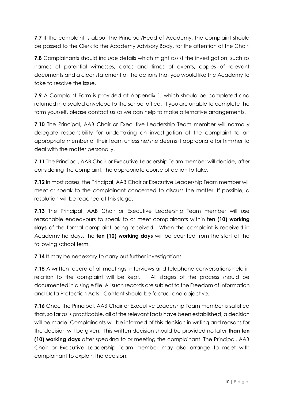**7.7** If the complaint is about the Principal/Head of Academy, the complaint should be passed to the Clerk to the Academy Advisory Body, for the attention of the Chair.

**7.8** Complainants should include details which might assist the investigation, such as names of potential witnesses, dates and times of events, copies of relevant documents and a clear statement of the actions that you would like the Academy to take to resolve the issue.

**7.9** A Complaint Form is provided at Appendix 1, which should be completed and returned in a sealed envelope to the school office. If you are unable to complete the form yourself, please contact us so we can help to make alternative arrangements.

**7.10** The Principal, AAB Chair or Executive Leadership Team member will normally delegate responsibility for undertaking an investigation of the complaint to an appropriate member of their team unless he/she deems it appropriate for him/her to deal with the matter personally.

**7.11** The Principal, AAB Chair or Executive Leadership Team member will decide, after considering the complaint, the appropriate course of action to take.

**7.12** In most cases, the Principal, AAB Chair or Executive Leadership Team member will meet or speak to the complainant concerned to discuss the matter. If possible, a resolution will be reached at this stage.

**7.13** The Principal, AAB Chair or Executive Leadership Team member will use reasonable endeavours to speak to or meet complainants within **ten (10) working days** of the formal complaint being received. When the complaint is received in Academy holidays, the **ten (10) working days** will be counted from the start of the following school term.

**7.14** It may be necessary to carry out further investigations.

**7.15** A written record of all meetings, interviews and telephone conversations held in relation to the complaint will be kept. All stages of the process should be documented in a single file. All such records are subject to the Freedom of Information and Data Protection Acts. Content should be factual and objective.

**7.16** Once the Principal, AAB Chair or Executive Leadership Team member is satisfied that, so far as is practicable, all of the relevant facts have been established, a decision will be made. Complainants will be informed of this decision in writing and reasons for the decision will be given. This written decision should be provided no later **than ten (10) working days** after speaking to or meeting the complainant. The Principal, AAB Chair or Executive Leadership Team member may also arrange to meet with complainant to explain the decision.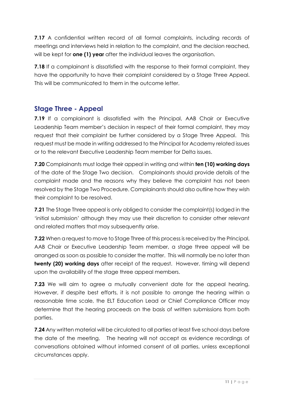**7.17** A confidential written record of all formal complaints, including records of meetings and interviews held in relation to the complaint, and the decision reached, will be kept for **one (1) year** after the individual leaves the organisation.

**7.18** If a complainant is dissatisfied with the response to their formal complaint, they have the opportunity to have their complaint considered by a Stage Three Appeal. This will be communicated to them in the outcome letter.

## **Stage Three - Appeal**

**7.19** If a complainant is dissatisfied with the Principal, AAB Chair or Executive Leadership Team member's decision in respect of their formal complaint, they may request that their complaint be further considered by a Stage Three Appeal. This request must be made in writing addressed to the Principal for Academy related issues or to the relevant Executive Leadership Team member for Delta issues.

**7.20** Complainants must lodge their appeal in writing and within **ten (10) working days** of the date of the Stage Two decision. Complainants should provide details of the complaint made and the reasons why they believe the complaint has not been resolved by the Stage Two Procedure. Complainants should also outline how they wish their complaint to be resolved.

**7.21** The Stage Three appeal is only obliged to consider the complaint(s) lodged in the 'initial submission' although they may use their discretion to consider other relevant and related matters that may subsequently arise.

**7.22** When a request to move to Stage Three of this process is received by the Principal, AAB Chair or Executive Leadership Team member, a stage three appeal will be arranged as soon as possible to consider the matter. This will normally be no later than **twenty (20) working days** after receipt of the request. However, timing will depend upon the availability of the stage three appeal members.

**7.23** We will aim to agree a mutually convenient date for the appeal hearing. However, if despite best efforts, it is not possible to arrange the hearing within a reasonable time scale, the ELT Education Lead or Chief Compliance Officer may determine that the hearing proceeds on the basis of written submissions from both parties.

**7.24** Any written material will be circulated to all parties at least five school days before the date of the meeting. The hearing will not accept as evidence recordings of conversations obtained without informed consent of all parties, unless exceptional circumstances apply.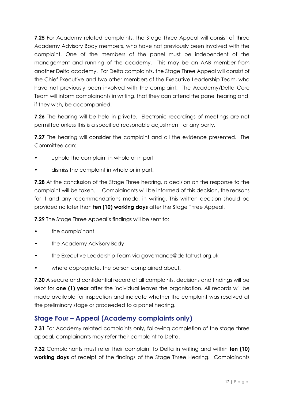**7.25** For Academy related complaints, the Stage Three Appeal will consist of three Academy Advisory Body members, who have not previously been involved with the complaint. One of the members of the panel must be independent of the management and running of the academy. This may be an AAB member from another Delta academy. For Delta complaints, the Stage Three Appeal will consist of the Chief Executive and two other members of the Executive Leadership Team, who have not previously been involved with the complaint. The Academy/Delta Core Team will inform complainants in writing, that they can attend the panel hearing and, if they wish, be accompanied.

**7.26** The hearing will be held in private. Electronic recordings of meetings are not permitted unless this is a specified reasonable adjustment for any party.

**7.27** The hearing will consider the complaint and all the evidence presented. The Committee can:

- uphold the complaint in whole or in part
- dismiss the complaint in whole or in part.

**7.28** At the conclusion of the Stage Three hearing, a decision on the response to the complaint will be taken. Complainants will be informed of this decision, the reasons for it and any recommendations made, in writing. This written decision should be provided no later than **ten (10) working days** after the Stage Three Appeal.

**7.29** The Stage Three Appeal's findings will be sent to:

- the complainant
- the Academy Advisory Body
- the Executive Leadership Team via governance@deltatrust.org.uk
- where appropriate, the person complained about.

**7.30** A secure and confidential record of all complaints, decisions and findings will be kept for **one (1) year** after the individual leaves the organisation. All records will be made available for inspection and indicate whether the complaint was resolved at the preliminary stage or proceeded to a panel hearing.

## **Stage Four – Appeal (Academy complaints only)**

**7.31** For Academy related complaints only, following completion of the stage three appeal, complainants may refer their complaint to Delta.

**7.32** Complainants must refer their complaint to Delta in writing and within **ten (10) working days** of receipt of the findings of the Stage Three Hearing. Complainants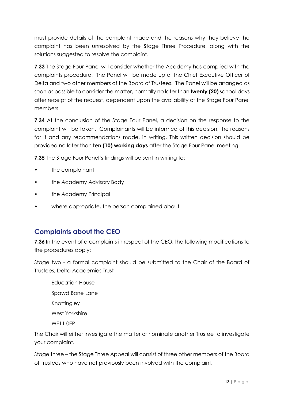must provide details of the complaint made and the reasons why they believe the complaint has been unresolved by the Stage Three Procedure, along with the solutions suggested to resolve the complaint.

**7.33** The Stage Four Panel will consider whether the Academy has complied with the complaints procedure. The Panel will be made up of the Chief Executive Officer of Delta and two other members of the Board of Trustees. The Panel will be arranged as soon as possible to consider the matter, normally no later than **twenty (20)** school days after receipt of the request, dependent upon the availability of the Stage Four Panel members.

**7.34** At the conclusion of the Stage Four Panel, a decision on the response to the complaint will be taken. Complainants will be informed of this decision, the reasons for it and any recommendations made, in writing. This written decision should be provided no later than **ten (10) working days** after the Stage Four Panel meeting.

**7.35** The Stage Four Panel's findings will be sent in writing to:

- the complainant
- the Academy Advisory Body
- the Academy Principal
- where appropriate, the person complained about.

## **Complaints about the CEO**

**7.36** In the event of a complaints in respect of the CEO, the following modifications to the procedures apply:

Stage two - a formal complaint should be submitted to the Chair of the Board of Trustees, Delta Academies Trust

Education House Spawd Bone Lane Knottingley West Yorkshire WF<sub>11</sub> OFP

The Chair will either investigate the matter or nominate another Trustee to investigate your complaint.

Stage three – the Stage Three Appeal will consist of three other members of the Board of Trustees who have not previously been involved with the complaint.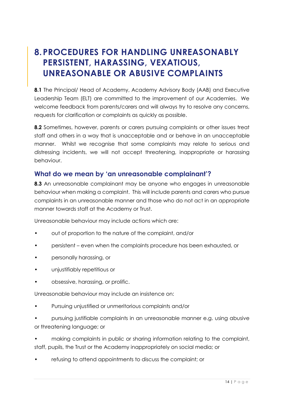## <span id="page-14-0"></span>**8.PROCEDURES FOR HANDLING UNREASONABLY PERSISTENT, HARASSING, VEXATIOUS, UNREASONABLE OR ABUSIVE COMPLAINTS**

**8.1** The Principal/ Head of Academy, Academy Advisory Body (AAB) and Executive Leadership Team (ELT) are committed to the improvement of our Academies. We welcome feedback from parents/carers and will always try to resolve any concerns, requests for clarification or complaints as quickly as possible.

**8.2** Sometimes, however, parents or carers pursuing complaints or other issues treat staff and others in a way that is unacceptable and or behave in an unacceptable manner. Whilst we recognise that some complaints may relate to serious and distressing incidents, we will not accept threatening, inappropriate or harassing behaviour.

#### **What do we mean by 'an unreasonable complainant'?**

**8.3** An unreasonable complainant may be anyone who engages in unreasonable behaviour when making a complaint. This will include parents and carers who pursue complaints in an unreasonable manner and those who do not act in an appropriate manner towards staff at the Academy or Trust.

Unreasonable behaviour may include actions which are:

- out of proportion to the nature of the complaint, and/or
- persistent even when the complaints procedure has been exhausted, or
- personally harassing, or
- unjustifiably repetitious or
- obsessive, harassing, or prolific.

Unreasonable behaviour may include an insistence on:

- Pursuing unjustified or unmeritorious complaints and/or
- pursuing justifiable complaints in an unreasonable manner e.g. using abusive or threatening language; or

• making complaints in public or sharing information relating to the complaint, staff, pupils, the Trust or the Academy inappropriately on social media; or

• refusing to attend appointments to discuss the complaint; or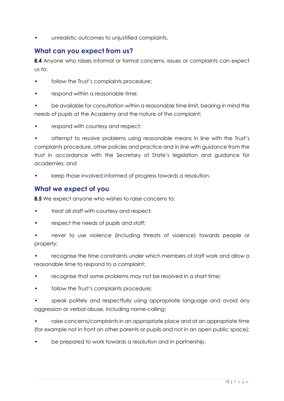• unrealistic outcomes to unjustified complaints.

#### **What can you expect from us?**

**8.4** Anyone who raises informal or formal concerns, issues or complaints can expect us to:

- follow the Trust's complaints procedure;
- respond within a reasonable time:

• be available for consultation within a reasonable time limit, bearing in mind the needs of pupils at the Academy and the nature of the complaint;

respond with courtesy and respect;

• attempt to resolve problems using reasonable means in line with the Trust's complaints procedure, other policies and practice and in line with guidance from the trust in accordance with the Secretary of State's legislation and guidance for academies; and

• keep those involved informed of progress towards a resolution.

#### **What we expect of you**

**8.5** We expect anyone who wishes to raise concerns to:

- treat all staff with courtesy and respect;
- respect the needs of pupils and staff;
- never to use violence (including threats of violence) towards people or property;

• recognise the time constraints under which members of staff work and allow a reasonable time to respond to a complaint;

- recognise that some problems may not be resolved in a short time;
- follow the Trust's complaints procedure;
- speak politely and respectfully using appropriate language and avoid any aggression or verbal abuse, including name-calling;
- raise concerns/complaints in an appropriate place and at an appropriate time (for example not in front on other parents or pupils and not in an open public space);
- be prepared to work towards a resolution and in partnership.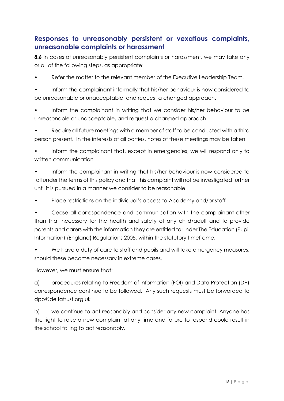## **Responses to unreasonably persistent or vexatious complaints, unreasonable complaints or harassment**

**8.6** In cases of unreasonably persistent complaints or harassment, we may take any or all of the following steps, as appropriate:

Refer the matter to the relevant member of the Executive Leadership Team.

• Inform the complainant informally that his/her behaviour is now considered to be unreasonable or unacceptable, and request a changed approach.

• Inform the complainant in writing that we consider his/her behaviour to be unreasonable or unacceptable, and request a changed approach

• Require all future meetings with a member of staff to be conducted with a third person present. In the interests of all parties, notes of these meetings may be taken.

• Inform the complainant that, except in emergencies, we will respond only to written communication

• Inform the complainant in writing that his/her behaviour is now considered to fall under the terms of this policy and that this complaint will not be investigated further until it is pursued in a manner we consider to be reasonable

• Place restrictions on the individual's access to Academy and/or staff

• Cease all correspondence and communication with the complainant other than that necessary for the health and safety of any child/adult and to provide parents and carers with the information they are entitled to under The Education (Pupil Information) (England) Regulations 2005, within the statutory timeframe.

• We have a duty of care to staff and pupils and will take emergency measures, should these become necessary in extreme cases.

However, we must ensure that:

a) procedures relating to Freedom of information (FOI) and Data Protection (DP) correspondence continue to be followed. Any such requests must be forwarded to dpo@deltatrust.org.uk

b) we continue to act reasonably and consider any new complaint. Anyone has the right to raise a new complaint at any time and failure to respond could result in the school failing to act reasonably.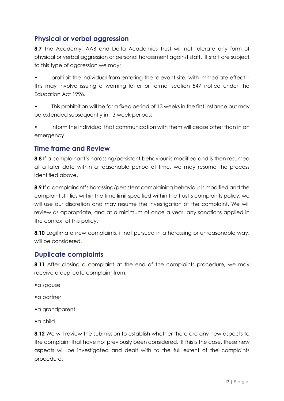## **Physical or verbal aggression**

**8.7** The Academy, AAB and Delta Academies Trust will not tolerate any form of physical or verbal aggression or personal harassment against staff. If staff are subject to this type of aggression we may:

• prohibit the individual from entering the relevant site, with immediate effect – this may involve issuing a warning letter or formal section 547 notice under the Education Act 1996.

This prohibition will be for a fixed period of 13 weeks in the first instance but may be extended subsequently in 13 week periods;

• inform the individual that communication with them will cease other than in an emergency.

#### **Time frame and Review**

**8.8** If a complainant's harassing/persistent behaviour is modified and is then resumed at a later date within a reasonable period of time, we may resume the process identified above.

**8.9** If a complainant's harassing/persistent complaining behaviour is modified and the complaint still lies within the time limit specified within the Trust's complaints policy, we will use our discretion and may resume the investigation of the complaint. We will review as appropriate, and at a minimum of once a year, any sanctions applied in the context of this policy.

**8.10** Legitimate new complaints, if not pursued in a harassing or unreasonable way, will be considered.

#### **Duplicate complaints**

**8.11** After closing a complaint at the end of the complaints procedure, we may receive a duplicate complaint from:

- •a spouse
- •a partner
- •a grandparent

•a child.

**8.12** We will review the submission to establish whether there are any new aspects to the complaint that have not previously been considered. If this is the case, these new aspects will be investigated and dealt with to the full extent of the complaints procedure.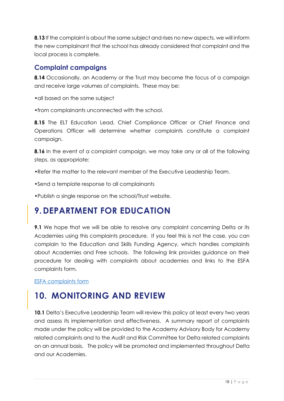**8.13** If the complaint is about the same subject and rises no new aspects, we will inform the new complainant that the school has already considered that complaint and the local process is complete.

#### **Complaint campaigns**

**8.14** Occasionally, an Academy or the Trust may become the focus of a campaign and receive large volumes of complaints. These may be:

•all based on the same subject

•from complainants unconnected with the school.

**8.15** The ELT Education Lead, Chief Compliance Officer or Chief Finance and Operations Officer will determine whether complaints constitute a complaint campaign.

**8.16** In the event of a complaint campaign, we may take any or all of the following steps, as appropriate:

•Refer the matter to the relevant member of the Executive Leadership Team.

•Send a template response to all complainants

•Publish a single response on the school/Trust website.

## <span id="page-18-0"></span>**9.DEPARTMENT FOR EDUCATION**

**9.1** We hope that we will be able to resolve any complaint concerning Delta or its Academies using this complaints procedure. If you feel this is not the case, you can complain to the Education and Skills Funding Agency, which handles complaints about Academies and Free schools. The following link provides guidance on their procedure for dealing with complaints about academies and links to the ESFA complaints form.

[ESFA complaints form](https://form.education.gov.uk/en/AchieveForms/?form_uri=sandbox-publish://AF-Process-f1453496-7d8a-463f-9f33-1da2ac47ed76/AF-Stage-1e64d4cc-25fb-499a-a8d7-74e98203ac00/definition.json&redirectlink=%2Fen&cancelRedirectLink=%2Fen)

## <span id="page-18-1"></span>**10. MONITORING AND REVIEW**

**10.1** Delta's Executive Leadership Team will review this policy at least every two years and assess its implementation and effectiveness. A summary report of complaints made under the policy will be provided to the Academy Advisory Body for Academy related complaints and to the Audit and Risk Committee for Delta related complaints on an annual basis. The policy will be promoted and implemented throughout Delta and our Academies.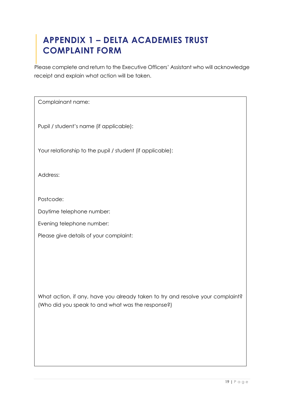## <span id="page-19-0"></span>**APPENDIX 1 – DELTA ACADEMIES TRUST COMPLAINT FORM**

Please complete and return to the Executive Officers' Assistant who will acknowledge receipt and explain what action will be taken.

| Complainant name:                                                                                                                   |
|-------------------------------------------------------------------------------------------------------------------------------------|
| Pupil / student's name (if applicable):                                                                                             |
| Your relationship to the pupil / student (if applicable):                                                                           |
| Address:                                                                                                                            |
| Postcode:                                                                                                                           |
| Daytime telephone number:                                                                                                           |
| Evening telephone number:                                                                                                           |
| Please give details of your complaint:                                                                                              |
| What action, if any, have you already taken to try and resolve your complaint?<br>(Who did you speak to and what was the response?) |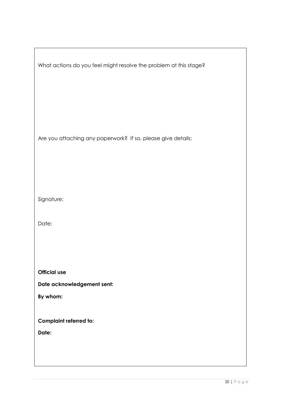| What actions do you feel might resolve the problem at this stage? |
|-------------------------------------------------------------------|
| Are you attaching any paperwork? If so, please give details:      |
| Signature:                                                        |
| Date:                                                             |
|                                                                   |
| <b>Official use</b>                                               |
| Date acknowledgement sent:                                        |
| By whom:                                                          |
| <b>Complaint referred to:</b>                                     |
| Date:                                                             |
|                                                                   |

r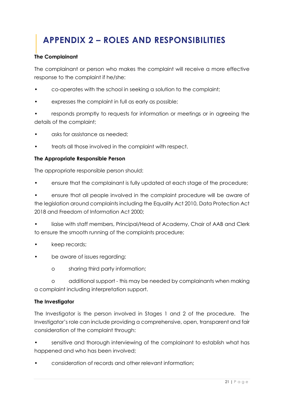# <span id="page-21-0"></span>**APPENDIX 2 – ROLES AND RESPONSIBILITIES**

#### **The Complainant**

The complainant or person who makes the complaint will receive a more effective response to the complaint if he/she:

- co-operates with the school in seeking a solution to the complaint;
- expresses the complaint in full as early as possible;
- responds promptly to requests for information or meetings or in agreeing the details of the complaint;
- asks for assistance as needed;
- treats all those involved in the complaint with respect.

#### **The Appropriate Responsible Person**

The appropriate responsible person should:

• ensure that the complainant is fully updated at each stage of the procedure;

• ensure that all people involved in the complaint procedure will be aware of the legislation around complaints including the Equality Act 2010, Data Protection Act 2018 and Freedom of Information Act 2000;

• liaise with staff members, Principal/Head of Academy, Chair of AAB and Clerk to ensure the smooth running of the complaints procedure;

- keep records;
- be aware of issues regarding:
	- o sharing third party information;

o additional support - this may be needed by complainants when making a complaint including interpretation support.

#### **The Investigator**

The Investigator is the person involved in Stages 1 and 2 of the procedure. The Investigator's role can include providing a comprehensive, open, transparent and fair consideration of the complaint through:

sensitive and thorough interviewing of the complainant to establish what has happened and who has been involved;

• consideration of records and other relevant information;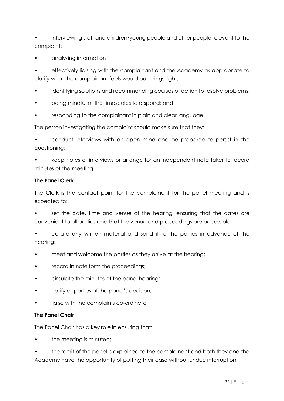• interviewing staff and children/young people and other people relevant to the complaint;

• analysing information

• effectively liaising with the complainant and the Academy as appropriate to clarify what the complainant feels would put things right;

- identifying solutions and recommending courses of action to resolve problems;
- being mindful of the timescales to respond; and
- responding to the complainant in plain and clear language.

The person investigating the complaint should make sure that they:

• conduct interviews with an open mind and be prepared to persist in the questioning;

• keep notes of interviews or arrange for an independent note taker to record minutes of the meeting.

#### **The Panel Clerk**

The Clerk is the contact point for the complainant for the panel meeting and is expected to:

• set the date, time and venue of the hearing, ensuring that the dates are convenient to all parties and that the venue and proceedings are accessible;

• collate any written material and send it to the parties in advance of the hearing;

- meet and welcome the parties as they arrive at the hearing;
- record in note form the proceedings;
- circulate the minutes of the panel hearing;
- notify all parties of the panel's decision;
- liaise with the complaints co-ordinator.

#### **The Panel Chair**

The Panel Chair has a key role in ensuring that:

the meeting is minuted;

• the remit of the panel is explained to the complainant and both they and the Academy have the opportunity of putting their case without undue interruption;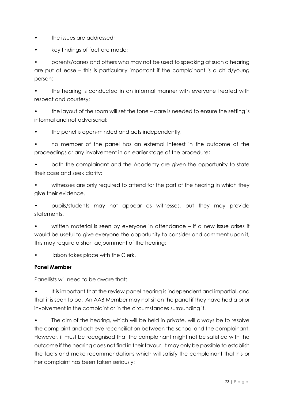- the issues are addressed;
- key findings of fact are made;

• parents/carers and others who may not be used to speaking at such a hearing are put at ease – this is particularly important if the complainant is a child/young person;

the hearing is conducted in an informal manner with everyone treated with respect and courtesy;

• the layout of the room will set the tone – care is needed to ensure the setting is informal and not adversarial;

• the panel is open-minded and acts independently;

• no member of the panel has an external interest in the outcome of the proceedings or any involvement in an earlier stage of the procedure;

• both the complainant and the Academy are given the opportunity to state their case and seek clarity;

• witnesses are only required to attend for the part of the hearing in which they give their evidence.

• pupils/students may not appear as witnesses, but they may provide statements.

written material is seen by everyone in attendance – if a new issue arises it would be useful to give everyone the opportunity to consider and comment upon it; this may require a short adjournment of the hearing;

liaison takes place with the Clerk.

#### **Panel Member**

Panellists will need to be aware that:

It is important that the review panel hearing is independent and impartial, and that it is seen to be. An AAB Member may not sit on the panel if they have had a prior involvement in the complaint or in the circumstances surrounding it.

The aim of the hearing, which will be held in private, will always be to resolve the complaint and achieve reconciliation between the school and the complainant. However, it must be recognised that the complainant might not be satisfied with the outcome if the hearing does not find in their favour. It may only be possible to establish the facts and make recommendations which will satisfy the complainant that his or her complaint has been taken seriously;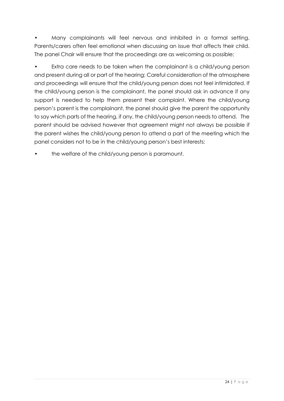• Many complainants will feel nervous and inhibited in a formal setting. Parents/carers often feel emotional when discussing an issue that affects their child. The panel Chair will ensure that the proceedings are as welcoming as possible;

Extra care needs to be taken when the complainant is a child/young person and present during all or part of the hearing; Careful consideration of the atmosphere and proceedings will ensure that the child/young person does not feel intimidated. If the child/young person is the complainant, the panel should ask in advance if any support is needed to help them present their complaint. Where the child/young person's parent is the complainant, the panel should give the parent the opportunity to say which parts of the hearing, if any, the child/young person needs to attend. The parent should be advised however that agreement might not always be possible if the parent wishes the child/young person to attend a part of the meeting which the panel considers not to be in the child/young person's best interests;

• the welfare of the child/young person is paramount.